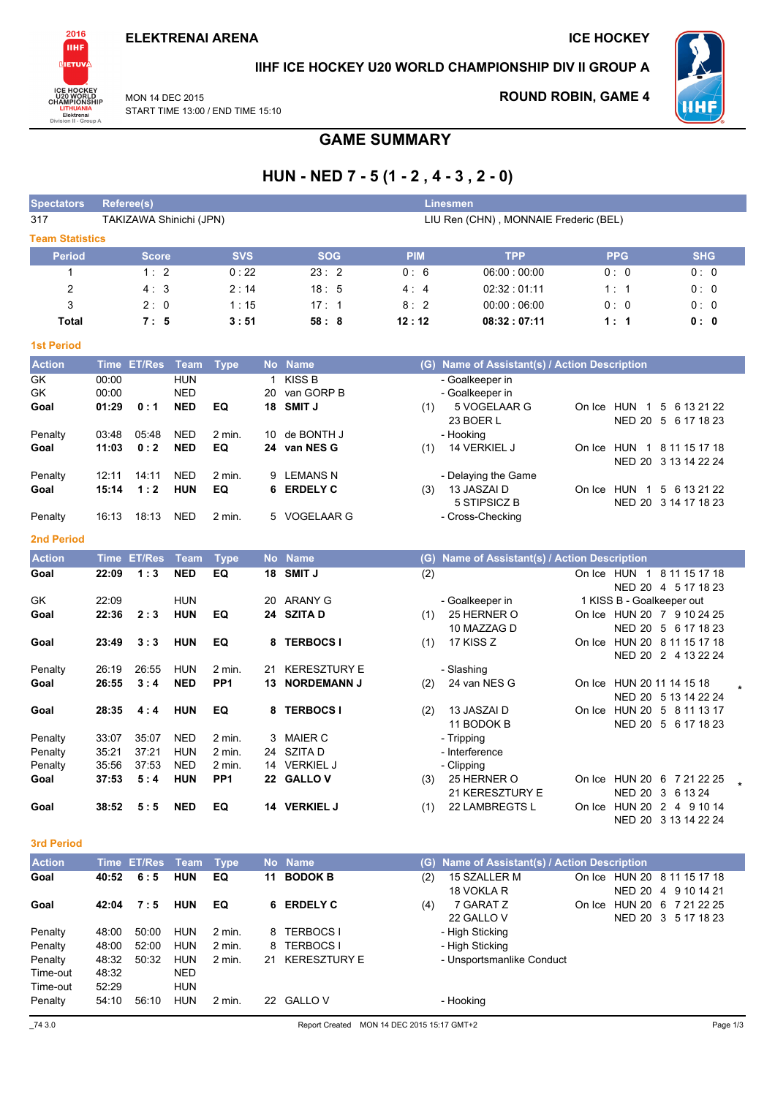

### IIHF ICE HOCKEY U20 WORLD CHAMPIONSHIP DIV II GROUP A

**MON 14 DEC 2015** START TIME 13:00 / END TIME 15:10

## **ROUND ROBIN, GAME 4**



# **GAME SUMMARY**

# HUN - NED  $7 - 5(1 - 2, 4 - 3, 2 - 0)$

| <b>Spectators</b>      | Referee(s) |                         |             |                 |              |                     |            | <b>Linesmen</b>                               |            |                                                         |
|------------------------|------------|-------------------------|-------------|-----------------|--------------|---------------------|------------|-----------------------------------------------|------------|---------------------------------------------------------|
| 317                    |            | TAKIZAWA Shinichi (JPN) |             |                 |              |                     |            | LIU Ren (CHN), MONNAIE Frederic (BEL)         |            |                                                         |
| <b>Team Statistics</b> |            |                         |             |                 |              |                     |            |                                               |            |                                                         |
| <b>Period</b>          |            | <b>Score</b>            |             | <b>SVS</b>      |              | <b>SOG</b>          | <b>PIM</b> | <b>TPP</b>                                    | <b>PPG</b> | <b>SHG</b>                                              |
| 1                      |            | 1:2                     |             | 0:22            |              | 23:2                | 0:6        | 06:00:00:00                                   | 0:0        | 0:0                                                     |
| $\overline{c}$         |            | 4:3                     |             | 2:14            |              | 18:5                | 4:4        | 02:32:01:11                                   | 1:1        | 0:0                                                     |
| 3                      |            | 2:0                     |             | 1:15            |              | 17:1                | 8:2        | 00:00:06:00                                   | 0:0        | 0:0                                                     |
| <b>Total</b>           |            | 7:5                     |             | 3:51            |              | 58:8                | 12:12      | 08:32:07:11                                   | 1:1        | 0:0                                                     |
| <b>1st Period</b>      |            |                         |             |                 |              |                     |            |                                               |            |                                                         |
| <b>Action</b>          |            | Time ET/Res             | <b>Team</b> | <b>Type</b>     |              | No Name             |            | (G) Name of Assistant(s) / Action Description |            |                                                         |
| GK                     | 00:00      |                         | <b>HUN</b>  |                 | $\mathbf{1}$ | <b>KISS B</b>       |            | - Goalkeeper in                               |            |                                                         |
| GK                     | 00:00      |                         | <b>NED</b>  |                 | 20           | van GORP B          |            | - Goalkeeper in                               |            |                                                         |
| Goal                   | 01:29      | 0:1                     | <b>NED</b>  | EQ              |              | 18 SMIT J           | (1)        | 5 VOGELAAR G                                  |            | On Ice HUN 1 5 6 13 21 22                               |
|                        |            |                         |             |                 |              |                     |            | 23 BOER L                                     |            | NED 20 5 6 17 18 23                                     |
| Penalty                | 03:48      | 05:48                   | <b>NED</b>  | 2 min.          | 10           | de BONTH J          |            | - Hooking                                     |            |                                                         |
| Goal                   | 11:03      | 0:2                     | <b>NED</b>  | EQ              | 24           | van NES G           | (1)        | 14 VERKIEL J                                  |            | On Ice HUN 1 8 11 15 17 18                              |
|                        | 12:11      | 14:11                   | <b>NED</b>  |                 |              | 9 LEMANS N          |            |                                               |            | NED 20 3 13 14 22 24                                    |
| Penalty<br>Goal        | 15:14      | 1:2                     | <b>HUN</b>  | 2 min.<br>EQ    | 6            | <b>ERDELY C</b>     | (3)        | - Delaying the Game<br>13 JASZAI D            |            | On Ice HUN 1 5 6 13 21 22                               |
|                        |            |                         |             |                 |              |                     |            | 5 STIPSICZ B                                  |            | NED 20 3 14 17 18 23                                    |
| Penalty                | 16:13      | 18:13                   | <b>NED</b>  | $2$ min.        |              | 5 VOGELAAR G        |            | - Cross-Checking                              |            |                                                         |
|                        |            |                         |             |                 |              |                     |            |                                               |            |                                                         |
| <b>2nd Period</b>      |            |                         |             |                 |              |                     |            |                                               |            |                                                         |
| <b>Action</b>          |            | Time ET/Res             | Team        | <b>Type</b>     |              | No Name             |            | (G) Name of Assistant(s) / Action Description |            |                                                         |
| Goal                   | 22:09      | 1:3                     | <b>NED</b>  | EQ              | 18           | <b>SMIT J</b>       | (2)        |                                               |            | On Ice HUN 1 8 11 15 17 18                              |
| GK                     | 22:09      |                         | <b>HUN</b>  |                 | 20           | <b>ARANY G</b>      |            |                                               |            | NED 20 4 5 17 18 23                                     |
| Goal                   | 22:36      | 2:3                     | <b>HUN</b>  | EQ              |              | 24 SZITA D          | (1)        | - Goalkeeper in<br>25 HERNER O                |            | 1 KISS B - Goalkeeper out<br>On Ice HUN 20 7 9 10 24 25 |
|                        |            |                         |             |                 |              |                     |            | 10 MAZZAG D                                   |            | NED 20 5 6 17 18 23                                     |
| Goal                   | 23:49      | 3:3                     | HUN         | EQ              | 8            | <b>TERBOCS I</b>    | (1)        | 17 KISS Z                                     |            | On Ice HUN 20 8 11 15 17 18                             |
|                        |            |                         |             |                 |              |                     |            |                                               |            | NED 20 2 4 13 22 24                                     |
| Penalty                | 26:19      | 26:55                   | <b>HUN</b>  | 2 min.          | 21           | <b>KERESZTURY E</b> |            | - Slashing                                    |            |                                                         |
| Goal                   | 26:55      | 3:4                     | <b>NED</b>  | PP <sub>1</sub> | 13           | <b>NORDEMANN J</b>  | (2)        | 24 van NES G                                  |            | On Ice HUN 20 11 14 15 18                               |
|                        |            |                         |             |                 |              |                     |            |                                               |            | NED 20 5 13 14 22 24                                    |
| Goal                   | 28:35      | 4:4                     | <b>HUN</b>  | EQ              | 8            | <b>TERBOCS I</b>    | (2)        | 13 JASZAI D                                   |            | On Ice HUN 20 5 8 11 13 17                              |
|                        |            |                         |             |                 |              |                     |            | 11 BODOK B                                    |            | NED 20 5 6 17 18 23                                     |
| Penalty                | 33:07      | 35:07                   | <b>NED</b>  | 2 min.          | 3            | <b>MAIER C</b>      |            | - Tripping                                    |            |                                                         |
| Penalty                | 35:21      | 37:21                   | <b>HUN</b>  | 2 min.          |              | 24 SZITA D          |            | - Interference                                |            |                                                         |
| Penalty                | 35:56      | 37:53                   | <b>NED</b>  | $2$ min.        |              | 14 VERKIEL J        |            | - Clipping                                    |            |                                                         |
| Goal                   | 37:53      | 5:4                     | <b>HUN</b>  | PP <sub>1</sub> |              | 22 GALLOV           | (3)        | 25 HERNER O<br>21 KERESZTURY E                |            | On Ice HUN 20 6 7 21 22 25<br>NED 20 3 6 13 24          |
| Goal                   | 38:52      | 5:5                     | <b>NED</b>  | EQ              |              | 14 VERKIEL J        | (1)        | 22 LAMBREGTS L                                |            | On Ice HUN 20 2 4 9 10 14                               |
|                        |            |                         |             |                 |              |                     |            |                                               |            | NED 20 3 13 14 22 24                                    |

### 3rd Period

| <b>Action</b> |       | Time ET/Res Team |            | Type   |     | No Name             |     | (G) Name of Assistant(s) / Action Description |        |                             |  |  |
|---------------|-------|------------------|------------|--------|-----|---------------------|-----|-----------------------------------------------|--------|-----------------------------|--|--|
| Goal          | 40:52 | 6:5              | <b>HUN</b> | EQ     | 11  | <b>BODOK B</b>      | (2) | 15 SZALLER M                                  |        | On Ice HUN 20 8 11 15 17 18 |  |  |
|               |       |                  |            |        |     |                     |     | 18 VOKLA R                                    |        | NED 20 4 9 10 14 21         |  |  |
| Goal          | 42:04 | 7:5              | <b>HUN</b> | EQ     | 6   | <b>ERDELY C</b>     | (4) | 7 GARAT Z                                     | On Ice | HUN 20 6 7 21 22 25         |  |  |
|               |       |                  |            |        |     |                     |     | 22 GALLO V                                    |        | NED 20 3 5 17 18 23         |  |  |
| Penalty       | 48:00 | 50:00            | <b>HUN</b> | 2 min. | 8   | TERBOCS I           |     | - High Sticking                               |        |                             |  |  |
| Penalty       | 48:00 | 52:00            | <b>HUN</b> | 2 min. | 8   | <b>TERBOCS I</b>    |     | - High Sticking                               |        |                             |  |  |
| Penalty       | 48:32 | 50:32            | HUN        | 2 min. | 21. | <b>KERESZTURY E</b> |     | - Unsportsmanlike Conduct                     |        |                             |  |  |
| Time-out      | 48:32 |                  | <b>NED</b> |        |     |                     |     |                                               |        |                             |  |  |
| Time-out      | 52:29 |                  | <b>HUN</b> |        |     |                     |     |                                               |        |                             |  |  |
| Penalty       | 54:10 | 56:10            | <b>HUN</b> | 2 min. | 22  | <b>GALLO V</b>      |     | - Hooking                                     |        |                             |  |  |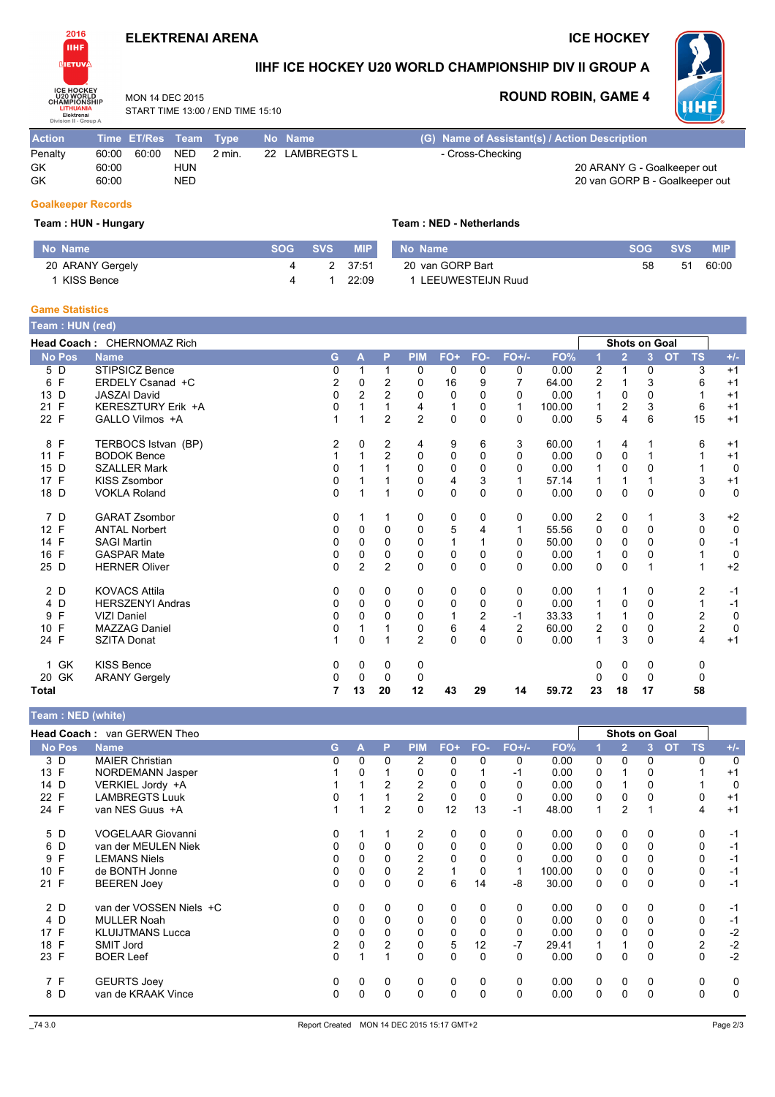### **ELEKTRENAI ARENA**

**ICE HOCKEY** 



## IIHF ICE HOCKEY U20 WORLD CHAMPIONSHIP DIV II GROUP A

Team: NED - Netherlands

MON 14 DFC 2015 START TIME 13:00 / END TIME 15:10

### **ROUND ROBIN, GAME 4**



| <b>Action</b> | Time ET/Res Team Type |     |        | No Name        | (G) Name of Assistant(s) / Action Description |
|---------------|-----------------------|-----|--------|----------------|-----------------------------------------------|
| Penalty       | 60:00<br>60:00        | NED | 2 min. | 22 LAMBREGTS L | - Cross-Checking                              |
| GK            | 60:00                 | HUN |        |                | 20 ARANY G - Goalkeeper out                   |
| GK            | 60:00                 | NED |        |                | 20 van GORP B - Goalkeeper out                |

### **Goalkeeper Records**

#### Team: HUN - Hungary

| No Name          | <b>SOG</b> | <b>SVS</b> | <b>MIP</b> | No Name           | <b>SOG</b> | <b>SVS</b> | <b>MIP</b> |
|------------------|------------|------------|------------|-------------------|------------|------------|------------|
| 20 ARANY Gergely |            |            | 37:51      | 20 van GORP Bart  | 58         | -51        | 60:00      |
| KISS Bence       |            |            | 22:09      | LEEUWESTEIJN Ruud |            |            |            |

### **Game Statistics**

| Team: HUN (red)      |                            |          |                |                |                |             |                |                |        |                         |                      |              |           |                         |             |
|----------------------|----------------------------|----------|----------------|----------------|----------------|-------------|----------------|----------------|--------|-------------------------|----------------------|--------------|-----------|-------------------------|-------------|
|                      | Head Coach: CHERNOMAZ Rich |          |                |                |                |             |                |                |        |                         | <b>Shots on Goal</b> |              |           |                         |             |
| <b>No Pos</b>        | <b>Name</b>                | G        | A              | P              | <b>PIM</b>     | FO+         | FO-            | $FO+/-$        | FO%    |                         | $\overline{2}$       | 3            | <b>OT</b> | <b>TS</b>               | $+/-$       |
| 5 D                  | STIPSICZ Bence             | 0        |                |                | $\mathbf 0$    | 0           | 0              | 0              | 0.00   | $\overline{c}$          | 1                    | 0            |           | 3                       | $+1$        |
| $\mathsf{F}$<br>6    | ERDELY Csanad +C           | 2        | 0              | $\overline{2}$ | 0              | 16          | 9              |                | 64.00  | $\overline{2}$          |                      | 3            |           | 6                       | $+1$        |
| D<br>13              | <b>JASZAI David</b>        | $\Omega$ | $\overline{2}$ | $\overline{2}$ | 0              | 0           | 0              | 0              | 0.00   | 1                       | $\Omega$             | 0            |           | 1                       | $+1$        |
| 21 F                 | KERESZTURY Erik +A         | 0        |                |                | 4              | 1           | 0              | 1              | 100.00 | $\mathbf{1}$            | 2                    | 3            |           | 6                       | $+1$        |
| 22 F                 | GALLO Vilmos +A            | 1        | 1              | $\overline{2}$ | $\overline{2}$ | $\mathbf 0$ | $\Omega$       | $\Omega$       | 0.00   | 5                       | 4                    | 6            |           | 15                      | $+1$        |
| 8 F                  | TERBOCS Istvan (BP)        | 2        | 0              | 2              | 4              | 9           | 6              | 3              | 60.00  | 1                       | 4                    |              |           | 6                       | $+1$        |
| 11 F                 | <b>BODOK Bence</b>         |          |                | $\overline{2}$ | 0              | 0           | 0              | 0              | 0.00   | 0                       | 0                    |              |           | 1                       | $+1$        |
| D<br>15              | <b>SZALLER Mark</b>        | 0        |                |                | $\Omega$       | 0           | $\Omega$       | 0              | 0.00   | 1                       | 0                    | $\Omega$     |           | 1                       | 0           |
| 17 F                 | <b>KISS Zsombor</b>        | 0        |                |                | 0              | 4           | 3              |                | 57.14  | 1                       |                      |              |           | 3                       | $+1$        |
| 18 D                 | <b>VOKLA Roland</b>        | 0        |                |                | $\Omega$       | 0           | $\Omega$       | 0              | 0.00   | 0                       | 0                    | 0            |           | 0                       | 0           |
| 7 D                  | <b>GARAT Zsombor</b>       | 0        |                |                | 0              | 0           | 0              | 0              | 0.00   | 2                       | 0                    |              |           | 3                       | $+2$        |
| 12 F                 | <b>ANTAL Norbert</b>       | 0        | $\Omega$       | $\Omega$       | $\mathbf 0$    | 5           | 4              |                | 55.56  | 0                       | 0                    | 0            |           | 0                       | 0           |
| 14 F                 | <b>SAGI Martin</b>         | 0        | $\Omega$       | 0              | $\Omega$       |             |                | 0              | 50.00  | 0                       | $\Omega$             | <sup>0</sup> |           | 0                       | $-1$        |
| F<br>16              | <b>GASPAR Mate</b>         | 0        | 0              | 0              | 0              | 0           | 0              | 0              | 0.00   | 1                       | 0                    | 0            |           |                         | 0           |
| 25 D                 | <b>HERNER Oliver</b>       | $\Omega$ | 2              | $\overline{2}$ | $\Omega$       | $\Omega$    | $\Omega$       | 0              | 0.00   | 0                       | $\Omega$             | 1            |           | $\mathbf{1}$            | $+2$        |
| 2 D                  | <b>KOVACS Attila</b>       | 0        | 0              | 0              | 0              | 0           | 0              | 0              | 0.00   | 1                       |                      | 0            |           | $\overline{2}$          | $-1$        |
| D<br>4               | <b>HERSZENYI Andras</b>    | 0        | $\Omega$       | $\Omega$       | 0              | 0           | 0              | 0              | 0.00   | 1                       | 0                    | 0            |           | 1                       | $-1$        |
| F<br>9               | <b>VIZI Daniel</b>         | 0        | 0              | 0              | 0              |             | $\overline{c}$ | -1             | 33.33  |                         |                      | 0            |           | $\overline{\mathbf{c}}$ | 0           |
| F<br>10 <sup>°</sup> | <b>MAZZAG Daniel</b>       | 0        |                |                | 0              | 6           | 4              | $\overline{2}$ | 60.00  | $\overline{\mathbf{c}}$ | 0                    | 0            |           | $\overline{c}$          | $\mathbf 0$ |
| 24 F                 | <b>SZITA Donat</b>         | 1        | $\Omega$       |                | $\overline{2}$ | $\Omega$    | 0              | 0              | 0.00   | 1                       | 3                    | 0            |           | 4                       | $+1$        |
| 1 GK                 | <b>KISS Bence</b>          | 0        | 0              | 0              | 0              |             |                |                |        | 0                       | 0                    | 0            |           | 0                       |             |
| 20 GK                | <b>ARANY Gergely</b>       | 0        | 0              | 0              | 0              |             |                |                |        | 0                       | 0                    | 0            |           | 0                       |             |
| <b>Total</b>         |                            | 7        | 13             | 20             | 12             | 43          | 29             | 14             | 59.72  | 23                      | 18                   | 17           |           | 58                      |             |

#### Team: NED (white)

|               | Head Coach: van GERWEN Theo |                |   |          |                |             |     |         |        |          |                | <b>Shots on Goal</b> |    |                |          |
|---------------|-----------------------------|----------------|---|----------|----------------|-------------|-----|---------|--------|----------|----------------|----------------------|----|----------------|----------|
| <b>No Pos</b> | <b>Name</b>                 | G.             | A | P        | <b>PIM</b>     | $FO+$       | FO- | $FO+/-$ | FO%    |          | $\overline{2}$ | 3                    | OT | <b>TS</b>      | $+/-$    |
| 3 D           | <b>MAIER Christian</b>      | 0              | 0 | 0        | 2              | 0           | 0   | 0       | 0.00   | 0        | 0              | 0                    |    | 0              | $\Omega$ |
| 13 F          | NORDEMANN Jasper            |                | 0 |          | 0              | 0           |     | -1      | 0.00   | 0        |                | 0                    |    |                | $+1$     |
| 14 D          | VERKIEL Jordy +A            |                |   | 2        | 2              | $\Omega$    |     | 0       | 0.00   | 0        |                | $\Omega$             |    |                | $\Omega$ |
| 22 F          | <b>LAMBREGTS Luuk</b>       | 0              |   |          | 2              | 0           | 0   | 0       | 0.00   | 0        | 0              | $\Omega$             |    | 0              | $+1$     |
| 24 F          | van NES Guus +A             |                |   | 2        | $\mathbf 0$    | 12          | 13  | $-1$    | 48.00  |          | $\overline{2}$ |                      |    | 4              | $+1$     |
| 5 D           | <b>VOGELAAR Giovanni</b>    | 0              |   |          | 2              | 0           | 0   | 0       | 0.00   | 0        | 0              | 0                    |    | 0              | $-1$     |
| 6 D           | van der MEULEN Niek         | 0              | 0 | 0        | $\Omega$       | 0           | 0   | 0       | 0.00   | 0        | 0              | 0                    |    | 0              | $-1$     |
| F<br>9        | <b>LEMANS Niels</b>         | 0              | 0 |          | $\overline{2}$ | $\Omega$    |     | 0       | 0.00   | 0        | 0              |                      |    | 0              | $-1$     |
| 10 F          | de BONTH Jonne              | 0              | 0 | 0        | 2              |             | 0   |         | 100.00 | 0        | 0              |                      |    | 0              | $-1$     |
| 21 F          | <b>BEEREN Joev</b>          | 0              | 0 | $\Omega$ | $\Omega$       | 6           | 14  | -8      | 30.00  | 0        | 0              | $\Omega$             |    | 0              | $-1$     |
| 2 D           | van der VOSSEN Niels +C     | 0              | 0 | 0        | 0              | 0           | 0   | 0       | 0.00   | 0        | 0              | 0                    |    | 0              | $-1$     |
| 4 D           | <b>MULLER Noah</b>          | 0              | 0 | 0        | 0              | 0           |     | 0       | 0.00   | 0        | 0              | 0                    |    | 0              | $-1$     |
| 17 F          | <b>KLUIJTMANS Lucca</b>     | 0              | 0 | 0        | 0              | 0           | 0   | 0       | 0.00   | 0        | 0              |                      |    | 0              | $-2$     |
| 18 F          | <b>SMIT Jord</b>            | $\overline{c}$ | 0 | 2        | 0              | 5           | 12  | $-7$    | 29.41  |          |                | 0                    |    | $\overline{c}$ | $-2$     |
| 23 F          | <b>BOER Leef</b>            | $\Omega$       |   |          | $\Omega$       | $\Omega$    | 0   | 0       | 0.00   | $\Omega$ | 0              | $\Omega$             |    | 0              | $-2$     |
| 7 F           | <b>GEURTS Joey</b>          | 0              | 0 | 0        | 0              | 0           | 0   | 0       | 0.00   | 0        | 0              | 0                    |    | 0              | $\Omega$ |
| 8 D           | van de KRAAK Vince          | 0              | 0 | 0        | $\Omega$       | $\mathbf 0$ | 0   | 0       | 0.00   | 0        | 0              | $\Omega$             |    | 0              | $\Omega$ |